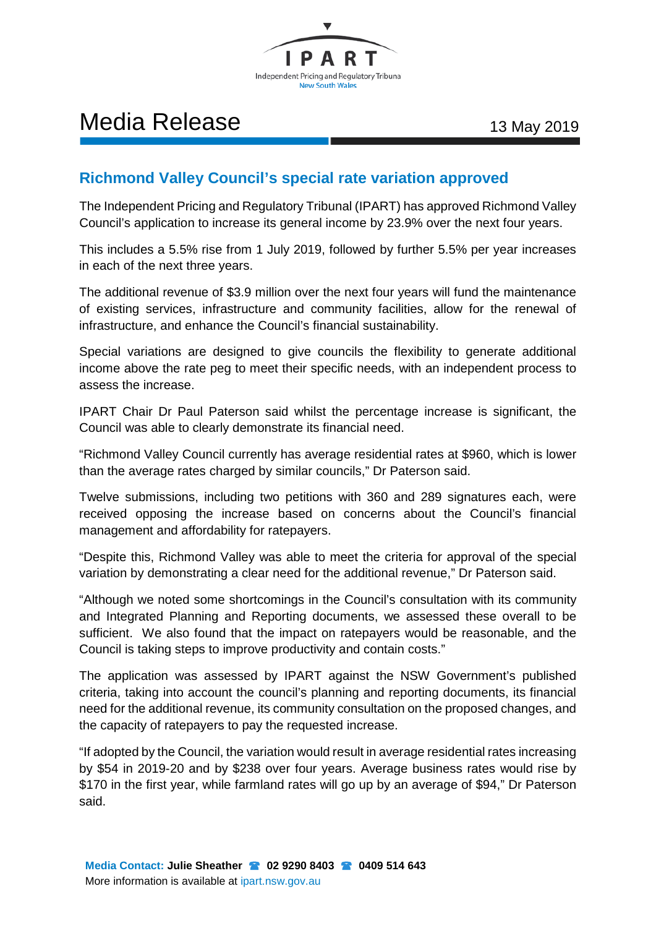

## Media Release 13 May 2019

## **Richmond Valley Council's special rate variation approved**

The Independent Pricing and Regulatory Tribunal (IPART) has approved Richmond Valley Council's application to increase its general income by 23.9% over the next four years.

This includes a 5.5% rise from 1 July 2019, followed by further 5.5% per year increases in each of the next three years.

The additional revenue of \$3.9 million over the next four years will fund the maintenance of existing services, infrastructure and community facilities, allow for the renewal of infrastructure, and enhance the Council's financial sustainability.

Special variations are designed to give councils the flexibility to generate additional income above the rate peg to meet their specific needs, with an independent process to assess the increase.

IPART Chair Dr Paul Paterson said whilst the percentage increase is significant, the Council was able to clearly demonstrate its financial need.

"Richmond Valley Council currently has average residential rates at \$960, which is lower than the average rates charged by similar councils," Dr Paterson said.

Twelve submissions, including two petitions with 360 and 289 signatures each, were received opposing the increase based on concerns about the Council's financial management and affordability for ratepayers.

"Despite this, Richmond Valley was able to meet the criteria for approval of the special variation by demonstrating a clear need for the additional revenue," Dr Paterson said.

"Although we noted some shortcomings in the Council's consultation with its community and Integrated Planning and Reporting documents, we assessed these overall to be sufficient. We also found that the impact on ratepayers would be reasonable, and the Council is taking steps to improve productivity and contain costs."

The application was assessed by IPART against the NSW Government's published criteria, taking into account the council's planning and reporting documents, its financial need for the additional revenue, its community consultation on the proposed changes, and the capacity of ratepayers to pay the requested increase.

"If adopted by the Council, the variation would result in average residential rates increasing by \$54 in 2019-20 and by \$238 over four years. Average business rates would rise by \$170 in the first year, while farmland rates will go up by an average of \$94," Dr Paterson said.